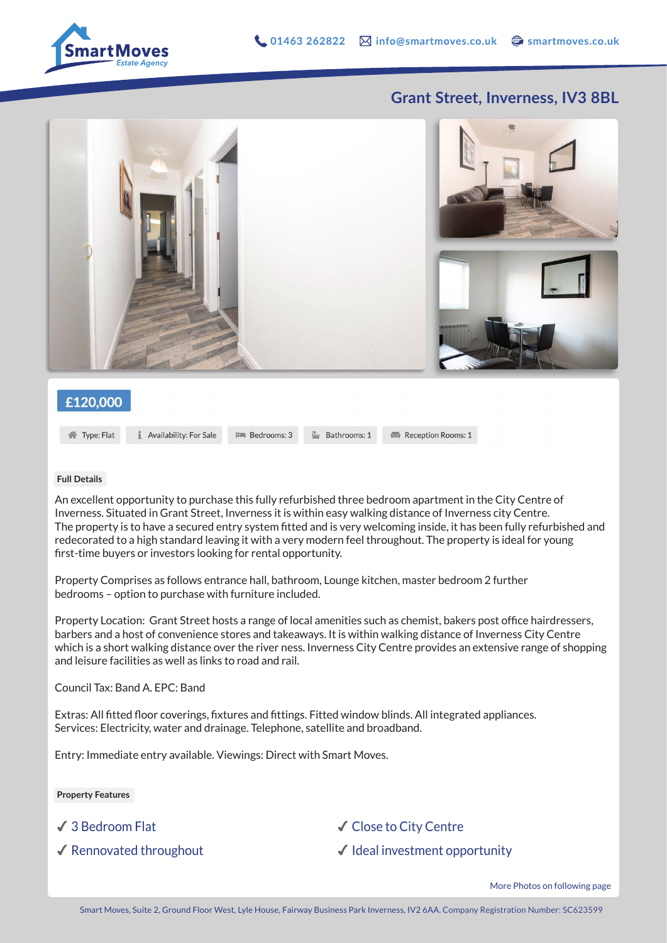

## **Grant Street, Inverness, IV3 8BL**



## £120,000

**谷** Type: Flat

**1** Availability: For Sale

 $\mathbb{P}$  Bedrooms: 3

 $\stackrel{p}{\equiv}$  Bathrooms: 1

Reception Rooms: 1

## **Full Details**

An excellent opportunity to purchase this fully refurbished three bedroom apartment in the City Centre of Inverness. Situated in Grant Street, Inverness it is within easy walking distance of Inverness city Centre. The property is to have a secured entry system fitted and is very welcoming inside, it has been fully refurbished and redecorated to a high standard leaving it with a very modern feel throughout. The property is ideal for young first-time buyers or investors looking for rental opportunity.

Property Comprises as follows entrance hall, bathroom, Lounge kitchen, master bedroom 2 further bedrooms – option to purchase with furniture included.

Property Location: Grant Street hosts a range of local amenities such as chemist, bakers post office hairdressers, barbers and a host of convenience stores and takeaways. It is within walking distance of Inverness City Centre which is a short walking distance over the river ness. Inverness City Centre provides an extensive range of shopping and leisure facilities as well as links to road and rail.

Council Tax: Band A. EPC: Band

Extras: All fitted floor coverings, fixtures and fittings. Fitted window blinds. All integrated appliances. Services: Electricity, water and drainage. Telephone, satellite and broadband.

Entry: Immediate entry available. Viewings: Direct with Smart Moves.

**Property Features**

✔ 3 Bedroom Flat

◆ Rennovated throughout

✔︎ Close to City Centre

 $\checkmark$  Ideal investment opportunity

More Photos on following page